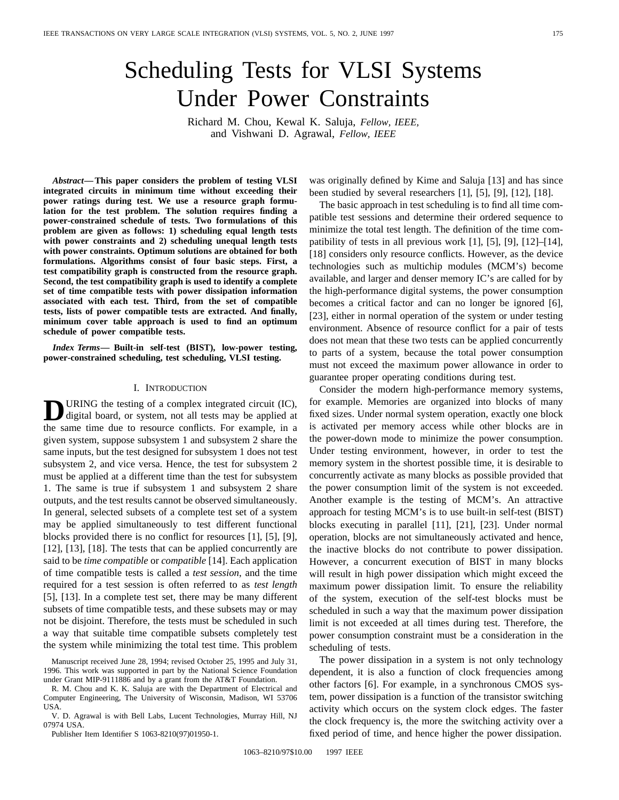# Scheduling Tests for VLSI Systems Under Power Constraints

Richard M. Chou, Kewal K. Saluja, *Fellow, IEEE,* and Vishwani D. Agrawal, *Fellow, IEEE*

*Abstract—***This paper considers the problem of testing VLSI integrated circuits in minimum time without exceeding their power ratings during test. We use a resource graph formulation for the test problem. The solution requires finding a power-constrained schedule of tests. Two formulations of this problem are given as follows: 1) scheduling equal length tests with power constraints and 2) scheduling unequal length tests with power constraints. Optimum solutions are obtained for both formulations. Algorithms consist of four basic steps. First, a test compatibility graph is constructed from the resource graph. Second, the test compatibility graph is used to identify a complete set of time compatible tests with power dissipation information associated with each test. Third, from the set of compatible tests, lists of power compatible tests are extracted. And finally, minimum cover table approach is used to find an optimum schedule of power compatible tests.**

*Index Terms—* **Built-in self-test (BIST), low-power testing, power-constrained scheduling, test scheduling, VLSI testing.**

# I. INTRODUCTION

**D**URING the testing of a complex integrated circuit (IC), digital board, or system, not all tests may be applied at the same time due to resource conflicts. For example, in a given system, suppose subsystem 1 and subsystem 2 share the same inputs, but the test designed for subsystem 1 does not test subsystem 2, and vice versa. Hence, the test for subsystem 2 must be applied at a different time than the test for subsystem 1. The same is true if subsystem 1 and subsystem 2 share outputs, and the test results cannot be observed simultaneously. In general, selected subsets of a complete test set of a system may be applied simultaneously to test different functional blocks provided there is no conflict for resources [1], [5], [9], [12], [13], [18]. The tests that can be applied concurrently are said to be *time compatible* or *compatible* [14]. Each application of time compatible tests is called a *test session*, and the time required for a test session is often referred to as *test length* [5], [13]. In a complete test set, there may be many different subsets of time compatible tests, and these subsets may or may not be disjoint. Therefore, the tests must be scheduled in such a way that suitable time compatible subsets completely test the system while minimizing the total test time. This problem

V. D. Agrawal is with Bell Labs, Lucent Technologies, Murray Hill, NJ 07974 USA.

Publisher Item Identifier S 1063-8210(97)01950-1.

The basic approach in test scheduling is to find all time compatible test sessions and determine their ordered sequence to minimize the total test length. The definition of the time compatibility of tests in all previous work [1], [5], [9], [12]–[14], [18] considers only resource conflicts. However, as the device technologies such as multichip modules (MCM's) become available, and larger and denser memory IC's are called for by the high-performance digital systems, the power consumption becomes a critical factor and can no longer be ignored [6], [23], either in normal operation of the system or under testing environment. Absence of resource conflict for a pair of tests does not mean that these two tests can be applied concurrently to parts of a system, because the total power consumption must not exceed the maximum power allowance in order to guarantee proper operating conditions during test.

Consider the modern high-performance memory systems, for example. Memories are organized into blocks of many fixed sizes. Under normal system operation, exactly one block is activated per memory access while other blocks are in the power-down mode to minimize the power consumption. Under testing environment, however, in order to test the memory system in the shortest possible time, it is desirable to concurrently activate as many blocks as possible provided that the power consumption limit of the system is not exceeded. Another example is the testing of MCM's. An attractive approach for testing MCM's is to use built-in self-test (BIST) blocks executing in parallel [11], [21], [23]. Under normal operation, blocks are not simultaneously activated and hence, the inactive blocks do not contribute to power dissipation. However, a concurrent execution of BIST in many blocks will result in high power dissipation which might exceed the maximum power dissipation limit. To ensure the reliability of the system, execution of the self-test blocks must be scheduled in such a way that the maximum power dissipation limit is not exceeded at all times during test. Therefore, the power consumption constraint must be a consideration in the scheduling of tests.

The power dissipation in a system is not only technology dependent, it is also a function of clock frequencies among other factors [6]. For example, in a synchronous CMOS system, power dissipation is a function of the transistor switching activity which occurs on the system clock edges. The faster the clock frequency is, the more the switching activity over a fixed period of time, and hence higher the power dissipation.

Manuscript received June 28, 1994; revised October 25, 1995 and July 31, 1996. This work was supported in part by the National Science Foundation under Grant MIP-9111886 and by a grant from the AT&T Foundation.

R. M. Chou and K. K. Saluja are with the Department of Electrical and Computer Engineering, The University of Wisconsin, Madison, WI 53706 USA.

was originally defined by Kime and Saluja [13] and has since been studied by several researchers [1], [5], [9], [12], [18].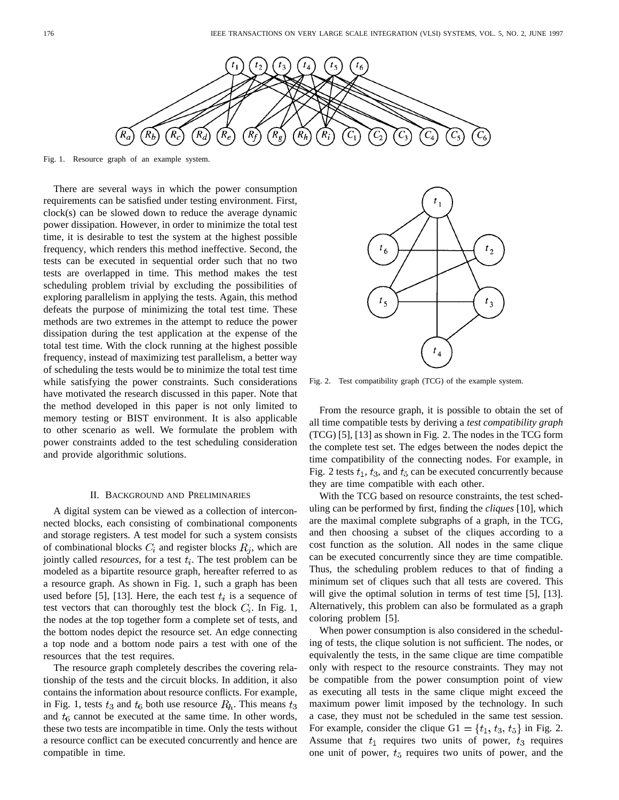

Fig. 1. Resource graph of an example system.

There are several ways in which the power consumption requirements can be satisfied under testing environment. First, clock(s) can be slowed down to reduce the average dynamic power dissipation. However, in order to minimize the total test time, it is desirable to test the system at the highest possible frequency, which renders this method ineffective. Second, the tests can be executed in sequential order such that no two tests are overlapped in time. This method makes the test scheduling problem trivial by excluding the possibilities of exploring parallelism in applying the tests. Again, this method defeats the purpose of minimizing the total test time. These methods are two extremes in the attempt to reduce the power dissipation during the test application at the expense of the total test time. With the clock running at the highest possible frequency, instead of maximizing test parallelism, a better way of scheduling the tests would be to minimize the total test time while satisfying the power constraints. Such considerations have motivated the research discussed in this paper. Note that the method developed in this paper is not only limited to memory testing or BIST environment. It is also applicable to other scenario as well. We formulate the problem with power constraints added to the test scheduling consideration and provide algorithmic solutions.

## II. BACKGROUND AND PRELIMINARIES

A digital system can be viewed as a collection of interconnected blocks, each consisting of combinational components and storage registers. A test model for such a system consists of combinational blocks  $C_i$  and register blocks  $R_i$ , which are jointly called *resources*, for a test  $t_i$ . The test problem can be modeled as a bipartite resource graph, hereafter referred to as a resource graph. As shown in Fig. 1, such a graph has been used before [5], [13]. Here, the each test  $t_i$  is a sequence of test vectors that can thoroughly test the block  $C_i$ . In Fig. 1, the nodes at the top together form a complete set of tests, and the bottom nodes depict the resource set. An edge connecting a top node and a bottom node pairs a test with one of the resources that the test requires.

The resource graph completely describes the covering relationship of the tests and the circuit blocks. In addition, it also contains the information about resource conflicts. For example, in Fig. 1, tests  $t_3$  and  $t_6$  both use resource  $R_h$ . This means  $t_3$ and  $t<sub>6</sub>$  cannot be executed at the same time. In other words, these two tests are incompatible in time. Only the tests without a resource conflict can be executed concurrently and hence are compatible in time.



Fig. 2. Test compatibility graph (TCG) of the example system.

From the resource graph, it is possible to obtain the set of all time compatible tests by deriving a *test compatibility graph* (TCG) [5], [13] as shown in Fig. 2. The nodes in the TCG form the complete test set. The edges between the nodes depict the time compatibility of the connecting nodes. For example, in Fig. 2 tests  $t_1$ ,  $t_3$ , and  $t_5$  can be executed concurrently because they are time compatible with each other.

With the TCG based on resource constraints, the test scheduling can be performed by first, finding the *cliques* [10], which are the maximal complete subgraphs of a graph, in the TCG, and then choosing a subset of the cliques according to a cost function as the solution. All nodes in the same clique can be executed concurrently since they are time compatible. Thus, the scheduling problem reduces to that of finding a minimum set of cliques such that all tests are covered. This will give the optimal solution in terms of test time [5], [13]. Alternatively, this problem can also be formulated as a graph coloring problem [5].

When power consumption is also considered in the scheduling of tests, the clique solution is not sufficient. The nodes, or equivalently the tests, in the same clique are time compatible only with respect to the resource constraints. They may not be compatible from the power consumption point of view as executing all tests in the same clique might exceed the maximum power limit imposed by the technology. In such a case, they must not be scheduled in the same test session. For example, consider the clique  $GI = \{t_1, t_3, t_5\}$  in Fig. 2. Assume that  $t_1$  requires two units of power,  $t_3$  requires one unit of power,  $t_5$  requires two units of power, and the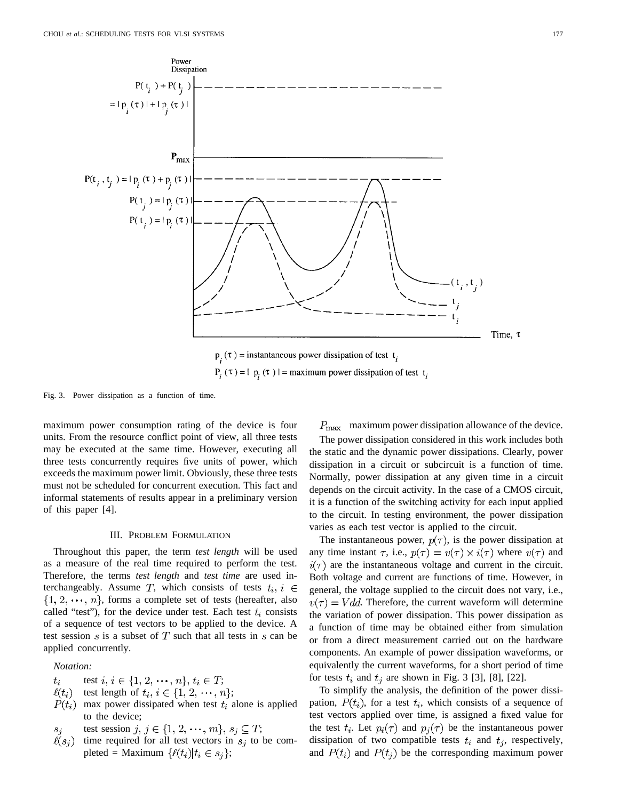

Fig. 3. Power dissipation as a function of time.

maximum power consumption rating of the device is four units. From the resource conflict point of view, all three tests may be executed at the same time. However, executing all three tests concurrently requires five units of power, which exceeds the maximum power limit. Obviously, these three tests must not be scheduled for concurrent execution. This fact and informal statements of results appear in a preliminary version of this paper [4].

# III. PROBLEM FORMULATION

Throughout this paper, the term *test length* will be used as a measure of the real time required to perform the test. Therefore, the terms *test length* and *test time* are used interchangeably. Assume T, which consists of tests  $t_i$ ,  $i \in$  $\{1, 2, \dots, n\}$ , forms a complete set of tests (hereafter, also called "test"), for the device under test. Each test  $t_i$  consists of a sequence of test vectors to be applied to the device. A test session  $s$  is a subset of  $T$  such that all tests in  $s$  can be applied concurrently.

# *Notation:*

- test  $i, i \in \{1, 2, \dots, n\}, t_i \in T;$  $t_i$
- test length of  $t_i, i \in \{1, 2, \dots, n\};$  $\ell(t_i)$
- $P(t_i)$  max power dissipated when test  $t_i$  alone is applied to the device;
- test session  $j, j \in \{1, 2, \dots, m\}, s_j \subseteq T;$
- $\ell(s_i)$ time required for all test vectors in  $s_i$  to be completed = Maximum  $\{\ell(t_i)|t_i \in s_j\};$

 $P_{\text{max}}$  maximum power dissipation allowance of the device.

The power dissipation considered in this work includes both the static and the dynamic power dissipations. Clearly, power dissipation in a circuit or subcircuit is a function of time. Normally, power dissipation at any given time in a circuit depends on the circuit activity. In the case of a CMOS circuit, it is a function of the switching activity for each input applied to the circuit. In testing environment, the power dissipation varies as each test vector is applied to the circuit.

The instantaneous power,  $p(\tau)$ , is the power dissipation at any time instant  $\tau$ , i.e.,  $p(\tau) = v(\tau) \times i(\tau)$  where  $v(\tau)$  and  $i(\tau)$  are the instantaneous voltage and current in the circuit. Both voltage and current are functions of time. However, in general, the voltage supplied to the circuit does not vary, i.e.,  $v(\tau) = Vdd$ . Therefore, the current waveform will determine the variation of power dissipation. This power dissipation as a function of time may be obtained either from simulation or from a direct measurement carried out on the hardware components. An example of power dissipation waveforms, or equivalently the current waveforms, for a short period of time for tests  $t_i$  and  $t_j$  are shown in Fig. 3 [3], [8], [22].

To simplify the analysis, the definition of the power dissipation,  $P(t_i)$ , for a test  $t_i$ , which consists of a sequence of test vectors applied over time, is assigned a fixed value for the test  $t_i$ . Let  $p_i(\tau)$  and  $p_j(\tau)$  be the instantaneous power dissipation of two compatible tests  $t_i$  and  $t_j$ , respectively, and  $P(t_i)$  and  $P(t_j)$  be the corresponding maximum power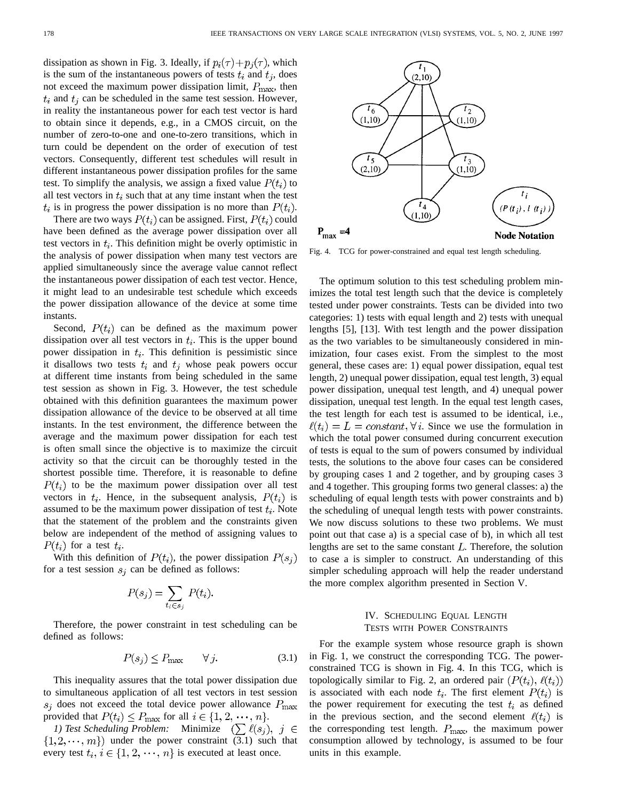dissipation as shown in Fig. 3. Ideally, if  $p_i(\tau) + p_i(\tau)$ , which is the sum of the instantaneous powers of tests  $t_i$  and  $t_j$ , does not exceed the maximum power dissipation limit,  $P_{\text{max}}$ , then  $t_i$  and  $t_j$  can be scheduled in the same test session. However, in reality the instantaneous power for each test vector is hard to obtain since it depends, e.g., in a CMOS circuit, on the number of zero-to-one and one-to-zero transitions, which in turn could be dependent on the order of execution of test vectors. Consequently, different test schedules will result in different instantaneous power dissipation profiles for the same test. To simplify the analysis, we assign a fixed value  $P(t_i)$  to all test vectors in  $t_i$  such that at any time instant when the test  $t_i$  is in progress the power dissipation is no more than  $P(t_i)$ .

There are two ways  $P(t_i)$  can be assigned. First,  $P(t_i)$  could have been defined as the average power dissipation over all test vectors in  $t_i$ . This definition might be overly optimistic in the analysis of power dissipation when many test vectors are applied simultaneously since the average value cannot reflect the instantaneous power dissipation of each test vector. Hence, it might lead to an undesirable test schedule which exceeds the power dissipation allowance of the device at some time instants.

Second,  $P(t_i)$  can be defined as the maximum power dissipation over all test vectors in  $t_i$ . This is the upper bound power dissipation in  $t_i$ . This definition is pessimistic since it disallows two tests  $t_i$  and  $t_j$  whose peak powers occur at different time instants from being scheduled in the same test session as shown in Fig. 3. However, the test schedule obtained with this definition guarantees the maximum power dissipation allowance of the device to be observed at all time instants. In the test environment, the difference between the average and the maximum power dissipation for each test is often small since the objective is to maximize the circuit activity so that the circuit can be thoroughly tested in the shortest possible time. Therefore, it is reasonable to define  $P(t_i)$  to be the maximum power dissipation over all test vectors in  $t_i$ . Hence, in the subsequent analysis,  $P(t_i)$  is assumed to be the maximum power dissipation of test  $t_i$ . Note that the statement of the problem and the constraints given below are independent of the method of assigning values to  $P(t_i)$  for a test  $t_i$ .

With this definition of  $P(t_i)$ , the power dissipation  $P(s_i)$ for a test session  $s_i$  can be defined as follows:

$$
P(s_j) = \sum_{t_i \in s_j} P(t_i).
$$

Therefore, the power constraint in test scheduling can be defined as follows:

$$
P(s_j) \le P_{\text{max}} \qquad \forall j. \tag{3.1}
$$

This inequality assures that the total power dissipation due to simultaneous application of all test vectors in test session  $s_i$  does not exceed the total device power allowance  $P_{\text{max}}$ provided that  $P(t_i) \leq P_{\text{max}}$  for all  $i \in \{1, 2, \dots, n\}.$ 

*1) Test Scheduling Problem:* Minimize  $(\sum \ell(s_i), j \in$  $\{1, 2, \dots, m\}$  under the power constraint (3.1) such that every test  $t_i, i \in \{1, 2, \dots, n\}$  is executed at least once.



Fig. 4. TCG for power-constrained and equal test length scheduling.

The optimum solution to this test scheduling problem minimizes the total test length such that the device is completely tested under power constraints. Tests can be divided into two categories: 1) tests with equal length and 2) tests with unequal lengths [5], [13]. With test length and the power dissipation as the two variables to be simultaneously considered in minimization, four cases exist. From the simplest to the most general, these cases are: 1) equal power dissipation, equal test length, 2) unequal power dissipation, equal test length, 3) equal power dissipation, unequal test length, and 4) unequal power dissipation, unequal test length. In the equal test length cases, the test length for each test is assumed to be identical, i.e.,  $\ell(t_i) = L = constant, \forall i$ . Since we use the formulation in which the total power consumed during concurrent execution of tests is equal to the sum of powers consumed by individual tests, the solutions to the above four cases can be considered by grouping cases 1 and 2 together, and by grouping cases 3 and 4 together. This grouping forms two general classes: a) the scheduling of equal length tests with power constraints and b) the scheduling of unequal length tests with power constraints. We now discuss solutions to these two problems. We must point out that case a) is a special case of b), in which all test lengths are set to the same constant  $L$ . Therefore, the solution to case a is simpler to construct. An understanding of this simpler scheduling approach will help the reader understand the more complex algorithm presented in Section V.

# IV. SCHEDULING EQUAL LENGTH TESTS WITH POWER CONSTRAINTS

For the example system whose resource graph is shown in Fig. 1, we construct the corresponding TCG. The powerconstrained TCG is shown in Fig. 4. In this TCG, which is topologically similar to Fig. 2, an ordered pair  $(P(t_i), \ell(t_i))$ is associated with each node  $t_i$ . The first element  $P(t_i)$  is the power requirement for executing the test  $t_i$  as defined in the previous section, and the second element  $\ell(t_i)$  is the corresponding test length.  $P_{\text{max}}$ , the maximum power consumption allowed by technology, is assumed to be four units in this example.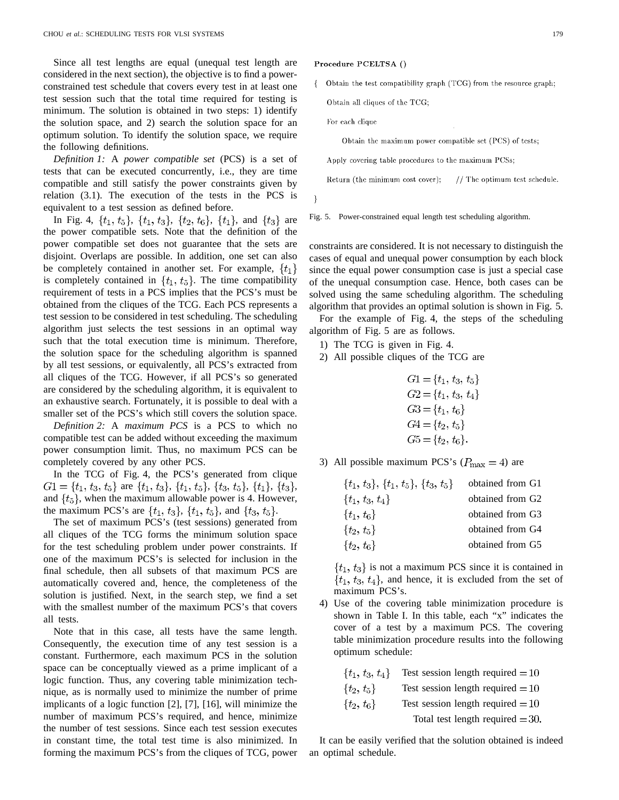Since all test lengths are equal (unequal test length are considered in the next section), the objective is to find a powerconstrained test schedule that covers every test in at least one test session such that the total time required for testing is minimum. The solution is obtained in two steps: 1) identify the solution space, and 2) search the solution space for an optimum solution. To identify the solution space, we require the following definitions.

*Definition 1:* A *power compatible set* (PCS) is a set of tests that can be executed concurrently, i.e., they are time compatible and still satisfy the power constraints given by relation (3.1). The execution of the tests in the PCS is equivalent to a test session as defined before.

In Fig. 4,  $\{t_1, t_5\}$ ,  $\{t_1, t_3\}$ ,  $\{t_2, t_6\}$ ,  $\{t_1\}$ , and  $\{t_3\}$  are the power compatible sets. Note that the definition of the power compatible set does not guarantee that the sets are disjoint. Overlaps are possible. In addition, one set can also be completely contained in another set. For example,  $\{t_1\}$ is completely contained in  $\{t_1, t_5\}$ . The time compatibility requirement of tests in a PCS implies that the PCS's must be obtained from the cliques of the TCG. Each PCS represents a test session to be considered in test scheduling. The scheduling algorithm just selects the test sessions in an optimal way such that the total execution time is minimum. Therefore, the solution space for the scheduling algorithm is spanned by all test sessions, or equivalently, all PCS's extracted from all cliques of the TCG. However, if all PCS's so generated are considered by the scheduling algorithm, it is equivalent to an exhaustive search. Fortunately, it is possible to deal with a smaller set of the PCS's which still covers the solution space.

*Definition 2:* A *maximum PCS* is a PCS to which no compatible test can be added without exceeding the maximum power consumption limit. Thus, no maximum PCS can be completely covered by any other PCS.

In the TCG of Fig. 4, the PCS's generated from clique  $G1 = \{t_1, t_3, t_5\}$  are  $\{t_1, t_3\}$ ,  $\{t_1, t_5\}$ ,  $\{t_3, t_5\}$ ,  $\{t_1\}$ ,  $\{t_3\}$ , and  $\{t_5\}$ , when the maximum allowable power is 4. However, the maximum PCS's are  $\{t_1, t_3\}$ ,  $\{t_1, t_5\}$ , and  $\{t_3, t_5\}$ .

The set of maximum PCS's (test sessions) generated from all cliques of the TCG forms the minimum solution space for the test scheduling problem under power constraints. If one of the maximum PCS's is selected for inclusion in the final schedule, then all subsets of that maximum PCS are automatically covered and, hence, the completeness of the solution is justified. Next, in the search step, we find a set with the smallest number of the maximum PCS's that covers all tests.

Note that in this case, all tests have the same length. Consequently, the execution time of any test session is a constant. Furthermore, each maximum PCS in the solution space can be conceptually viewed as a prime implicant of a logic function. Thus, any covering table minimization technique, as is normally used to minimize the number of prime implicants of a logic function [2], [7], [16], will minimize the number of maximum PCS's required, and hence, minimize the number of test sessions. Since each test session executes in constant time, the total test time is also minimized. In forming the maximum PCS's from the cliques of TCG, power Procedure PCELTSA ()

Obtain the test compatibility graph (TCG) from the resource graph;  $\left\{ \right.$ 

Obtain all cliques of the TCG;

For each clique

Obtain the maximum power compatible set (PCS) of tests;

Apply covering table procedures to the maximum PCSs;

Return (the minimum cost cover);  $//$  The optimum test schedule.

3

Fig. 5. Power-constrained equal length test scheduling algorithm.

constraints are considered. It is not necessary to distinguish the cases of equal and unequal power consumption by each block since the equal power consumption case is just a special case of the unequal consumption case. Hence, both cases can be solved using the same scheduling algorithm. The scheduling algorithm that provides an optimal solution is shown in Fig. 5.

For the example of Fig. 4, the steps of the scheduling algorithm of Fig. 5 are as follows.

- 1) The TCG is given in Fig. 4.
- 2) All possible cliques of the TCG are

$$
G1 = \{t_1, t_3, t_5\}
$$
  
\n
$$
G2 = \{t_1, t_3, t_4\}
$$
  
\n
$$
G3 = \{t_1, t_6\}
$$
  
\n
$$
G4 = \{t_2, t_5\}
$$
  
\n
$$
G5 = \{t_2, t_6\}.
$$

3) All possible maximum PCS's ( $P_{\text{max}} = 4$ ) are

| $\{t_1, t_3\}, \{t_1, t_5\}, \{t_3, t_5\}$ | obtained from G1 |
|--------------------------------------------|------------------|
| $\{t_1, t_3, t_4\}$                        | obtained from G2 |
| $\{t_1, t_6\}$                             | obtained from G3 |
| $\{t_2, t_5\}$                             | obtained from G4 |
| $\{t_2, t_6\}$                             | obtained from G5 |

 $\{t_1, t_3\}$  is not a maximum PCS since it is contained in  $\{t_1, t_3, t_4\}$ , and hence, it is excluded from the set of maximum PCS's.

4) Use of the covering table minimization procedure is shown in Table I. In this table, each "x" indicates the cover of a test by a maximum PCS. The covering table minimization procedure results into the following optimum schedule:

| $\{t_1, t_3, t_4\}$ | Test session length required $=10$ |
|---------------------|------------------------------------|
| $\{t_2, t_5\}$      | Test session length required $=10$ |
| $\{t_2, t_6\}$      | Test session length required $=10$ |
|                     | Total test length required $=$ 30. |

It can be easily verified that the solution obtained is indeed an optimal schedule.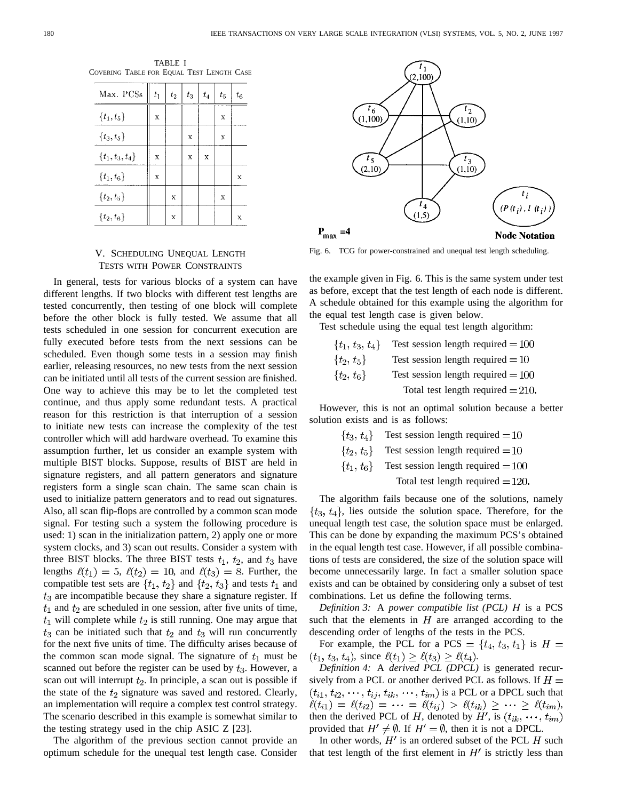|                                           |                                                                                                               | TABLE I |  |  |
|-------------------------------------------|---------------------------------------------------------------------------------------------------------------|---------|--|--|
| Covering Table for Equal Test Length Case |                                                                                                               |         |  |  |
|                                           |                                                                                                               |         |  |  |
|                                           | May $PCS_c \parallel t_c \parallel t_c \parallel t_c \parallel t_c \parallel t_c \parallel t_c \parallel t_c$ |         |  |  |

| Max. PCSs           | $t_1$    | $t_2$ | $t_3$ | $t_4$ | $t_{5}$  | $t_6$   |
|---------------------|----------|-------|-------|-------|----------|---------|
| $\{t_{1}, t_{5}\}$  | X        |       |       |       | X        |         |
| $\{t_3, t_5\}$      |          |       | X     |       | X        |         |
| $\{t_1, t_3, t_4\}$ | $\bf{X}$ |       | X     | X     |          |         |
| $\{t_1,t_6\}$       | $\bf{X}$ |       |       |       |          | $\bf x$ |
| $\{t_2, t_5\}$      |          | X     |       |       | $\bf{X}$ |         |
| $\{t_{2},t_{6}\}$   |          | X     |       |       |          | X       |

# V. SCHEDULING UNEQUAL LENGTH TESTS WITH POWER CONSTRAINTS

In general, tests for various blocks of a system can have different lengths. If two blocks with different test lengths are tested concurrently, then testing of one block will complete before the other block is fully tested. We assume that all tests scheduled in one session for concurrent execution are fully executed before tests from the next sessions can be scheduled. Even though some tests in a session may finish earlier, releasing resources, no new tests from the next session can be initiated until all tests of the current session are finished. One way to achieve this may be to let the completed test continue, and thus apply some redundant tests. A practical reason for this restriction is that interruption of a session to initiate new tests can increase the complexity of the test controller which will add hardware overhead. To examine this assumption further, let us consider an example system with multiple BIST blocks. Suppose, results of BIST are held in signature registers, and all pattern generators and signature registers form a single scan chain. The same scan chain is used to initialize pattern generators and to read out signatures. Also, all scan flip-flops are controlled by a common scan mode signal. For testing such a system the following procedure is used: 1) scan in the initialization pattern, 2) apply one or more system clocks, and 3) scan out results. Consider a system with three BIST blocks. The three BIST tests  $t_1$ ,  $t_2$ , and  $t_3$  have lengths  $\ell(t_1) = 5$ ,  $\ell(t_2) = 10$ , and  $\ell(t_3) = 8$ . Further, the compatible test sets are  $\{t_1, t_2\}$  and  $\{t_2, t_3\}$  and tests  $t_1$  and  $t_3$  are incompatible because they share a signature register. If  $t_1$  and  $t_2$  are scheduled in one session, after five units of time,  $t_1$  will complete while  $t_2$  is still running. One may argue that  $t_3$  can be initiated such that  $t_2$  and  $t_3$  will run concurrently for the next five units of time. The difficulty arises because of the common scan mode signal. The signature of  $t_1$  must be scanned out before the register can be used by  $t_3$ . However, a scan out will interrupt  $t_2$ . In principle, a scan out is possible if the state of the  $t_2$  signature was saved and restored. Clearly, an implementation will require a complex test control strategy. The scenario described in this example is somewhat similar to the testing strategy used in the chip ASIC Z [23].

The algorithm of the previous section cannot provide an optimum schedule for the unequal test length case. Consider



Fig. 6. TCG for power-constrained and unequal test length scheduling.

the example given in Fig. 6. This is the same system under test as before, except that the test length of each node is different. A schedule obtained for this example using the algorithm for the equal test length case is given below.

Test schedule using the equal test length algorithm:

 $\{t_1, t_3, t_4\}$ Test session length required  $=100$  $\{t_2, t_5\}$ Test session length required  $=10$  $\{t_2, t_6\}$ Test session length required  $=100$ Total test length required  $=$  210.

However, this is not an optimal solution because a better solution exists and is as follows:

> $\{t_3, t_4\}$ Test session length required  $=10$ Test session length required  $=10$  $\{t_2, t_5\}$  $\{t_1, t_6\}$ Test session length required  $= 100$

Total test length required  $=$  120.

The algorithm fails because one of the solutions, namely  $\{t_3, t_4\}$ , lies outside the solution space. Therefore, for the unequal length test case, the solution space must be enlarged. This can be done by expanding the maximum PCS's obtained in the equal length test case. However, if all possible combinations of tests are considered, the size of the solution space will become unnecessarily large. In fact a smaller solution space exists and can be obtained by considering only a subset of test combinations. Let us define the following terms.

*Definition 3:* A *power compatible list (PCL)*  $H$  is a PCS such that the elements in  $H$  are arranged according to the descending order of lengths of the tests in the PCS.

For example, the PCL for a PCS =  $\{t_4, t_3, t_1\}$  is  $H =$  $(t_1, t_3, t_4)$ , since  $\ell(t_1) \geq \ell(t_3) \geq \ell(t_4)$ .

*Definition 4:* A *derived PCL (DPCL)* is generated recursively from a PCL or another derived PCL as follows. If  $H =$ is a PCL or a DPCL such that , then the derived PCL of H, denoted by H', is  $(t_{ik}, \dots, t_{im})$ provided that  $H' \neq \emptyset$ . If  $H' = \emptyset$ , then it is not a DPCL.

In other words,  $H'$  is an ordered subset of the PCL  $H$  such that test length of the first element in  $H'$  is strictly less than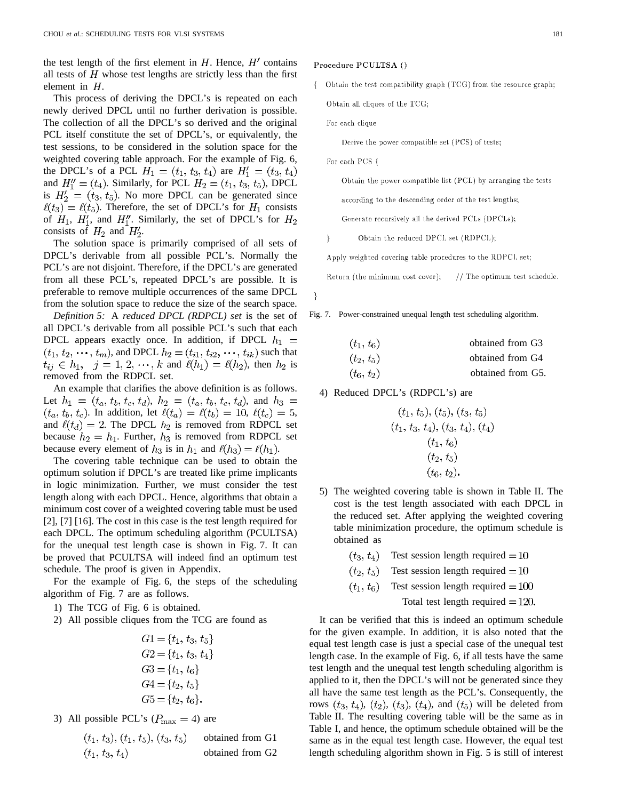the test length of the first element in  $H$ . Hence,  $H'$  contains all tests of  $H$  whose test lengths are strictly less than the first element in  $H$ .

This process of deriving the DPCL's is repeated on each newly derived DPCL until no further derivation is possible. The collection of all the DPCL's so derived and the original PCL itself constitute the set of DPCL's, or equivalently, the test sessions, to be considered in the solution space for the weighted covering table approach. For the example of Fig. 6, the DPCL's of a PCL  $H_1 = (t_1, t_3, t_4)$  are  $H'_1 = (t_3, t_4)$ and  $H''_1 = (t_4)$ . Similarly, for PCL  $H_2 = (t_1, t_3, t_5)$ , DPCL is  $H'_2 = (t_3, t_5)$ . No more DPCL can be generated since  $\ell(t_3) = \ell(t_5)$ . Therefore, the set of DPCL's for  $H_1$  consists of  $H_1$ ,  $H'_1$ , and  $H''_1$ . Similarly, the set of DPCL's for  $H_2$ consists of  $H_2$  and  $H'_2$ .

The solution space is primarily comprised of all sets of DPCL's derivable from all possible PCL's. Normally the PCL's are not disjoint. Therefore, if the DPCL's are generated from all these PCL's, repeated DPCL's are possible. It is preferable to remove multiple occurrences of the same DPCL from the solution space to reduce the size of the search space.

*Definition 5:* A *reduced DPCL (RDPCL) set* is the set of all DPCL's derivable from all possible PCL's such that each DPCL appears exactly once. In addition, if DPCL  $h_1$  =  $(t_1, t_2, \dots, t_m)$ , and DPCL  $h_2 = (t_{i1}, t_{i2}, \dots, t_{ik})$  such that  $t_{ij} \in h_1, \quad j = 1, 2, \dots, k$  and  $\ell(h_1) = \ell(h_2)$ , then  $h_2$  is removed from the RDPCL set.

An example that clarifies the above definition is as follows. Let  $h_1 = (t_a, t_b, t_c, t_d)$ ,  $h_2 = (t_a, t_b, t_c, t_d)$ , and  $h_3 =$  $(t_a, t_b, t_c)$ . In addition, let  $\ell(t_a) = \ell(t_b) = 10$ ,  $\ell(t_c) = 5$ , and  $\ell(t_d) = 2$ . The DPCL  $h_2$  is removed from RDPCL set because  $h_2 = h_1$ . Further,  $h_3$  is removed from RDPCL set because every element of  $h_3$  is in  $h_1$  and  $\ell(h_3) = \ell(h_1)$ .

The covering table technique can be used to obtain the optimum solution if DPCL's are treated like prime implicants in logic minimization. Further, we must consider the test length along with each DPCL. Hence, algorithms that obtain a minimum cost cover of a weighted covering table must be used [2], [7] [16]. The cost in this case is the test length required for each DPCL. The optimum scheduling algorithm (PCULTSA) for the unequal test length case is shown in Fig. 7. It can be proved that PCULTSA will indeed find an optimum test schedule. The proof is given in Appendix.

For the example of Fig. 6, the steps of the scheduling algorithm of Fig. 7 are as follows.

- 1) The TCG of Fig. 6 is obtained.
- 2) All possible cliques from the TCG are found as

$$
G1 = \{t_1, t_3, t_5\}
$$
  
\n
$$
G2 = \{t_1, t_3, t_4\}
$$
  
\n
$$
G3 = \{t_1, t_6\}
$$
  
\n
$$
G4 = \{t_2, t_5\}
$$
  
\n
$$
G5 = \{t_2, t_6\}.
$$

3) All possible PCL's  $(P_{\text{max}} = 4)$  are

| $(t_1, t_3), (t_1, t_5), (t_3, t_5)$ | obtained from G1 |
|--------------------------------------|------------------|
| $(t_1, t_3, t_4)$                    | obtained from G2 |

# Procedure PCULTSA ()

Obtain the test compatibility graph (TCG) from the resource graph;  $\{$ 

Obtain all cliques of the TCG;

For each clique

Derive the power compatible set (PCS) of tests;

For each PCS {

}

Obtain the power compatible list (PCL) by arranging the tests

according to the descending order of the test lengths;

Generate recursively all the derived PCLs (DPCLs);

 $\overline{\phantom{a}}$ Obtain the reduced DPCL set (RDPCL);

Apply weighted covering table procedures to the RDPCL set;

Return (the minimum cost cover); // The optimum test schedule.

Fig. 7. Power-constrained unequal length test scheduling algorithm.

| $(t_1, t_6)$ | obtained from G3  |
|--------------|-------------------|
| $(t_2, t_5)$ | obtained from G4  |
| $(t_6, t_2)$ | obtained from G5. |

4) Reduced DPCL's (RDPCL's) are

$$
(t_1, t_5), (t_5), (t_3, t_5)(t_1, t_3, t_4), (t_3, t_4), (t_4)(t_1, t_6)(t_2, t_5)(t_6, t_2).
$$

- 5) The weighted covering table is shown in Table II. The cost is the test length associated with each DPCL in the reduced set. After applying the weighted covering table minimization procedure, the optimum schedule is obtained as
	- $(t_3, t_4)$ Test session length required  $=10$
	- $(t_2, t_5)$ Test session length required  $=10$
	- $(t_1, t_6)$ Test session length required  $= 100$

Total test length required  $= 120$ .

It can be verified that this is indeed an optimum schedule for the given example. In addition, it is also noted that the equal test length case is just a special case of the unequal test length case. In the example of Fig. 6, if all tests have the same test length and the unequal test length scheduling algorithm is applied to it, then the DPCL's will not be generated since they all have the same test length as the PCL's. Consequently, the rows  $(t_3, t_4)$ ,  $(t_2)$ ,  $(t_3)$ ,  $(t_4)$ , and  $(t_5)$  will be deleted from Table II. The resulting covering table will be the same as in Table I, and hence, the optimum schedule obtained will be the same as in the equal test length case. However, the equal test length scheduling algorithm shown in Fig. 5 is still of interest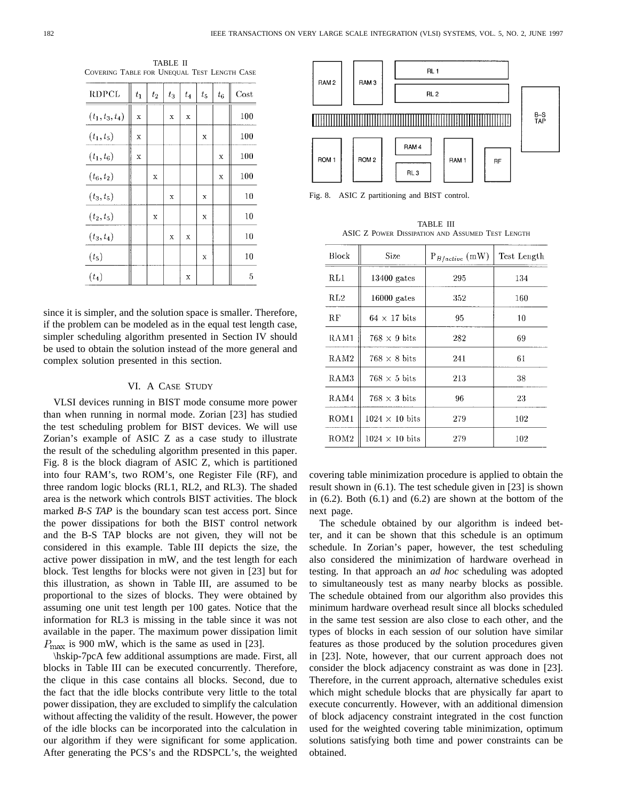TABLE II COVERING TABLE FOR UNEQUAL TEST LENGTH CASE

| <b>RDPCL</b>      | $t_1$ | $t_2$ | $\sqrt{t_3}$ | $t_4$ | $t_{5}$  | $t_6$ | Cost |
|-------------------|-------|-------|--------------|-------|----------|-------|------|
| $(t_1, t_3, t_4)$ | X     |       | X            | X     |          |       | 100  |
| $(t_1, t_5)$      | X     |       |              |       | x        |       | 100  |
| $(t_1, t_6)$      | X     |       |              |       |          | X     | 100  |
| $(t_6, t_2)$      |       | X     |              |       |          | X     | 100  |
| $(t_3, t_5)$      |       |       | X            |       | X        |       | 10   |
| $(t_2, t_5)$      |       | X     |              |       | X        |       | 10   |
| $(t_3, t_4)$      |       |       | X            | X     |          |       | 10   |
| (t <sub>5</sub> ) |       |       |              |       | $\bf{X}$ |       | 10   |
| $(t_4)$           |       |       |              | X     |          |       | 5    |

since it is simpler, and the solution space is smaller. Therefore, if the problem can be modeled as in the equal test length case, simpler scheduling algorithm presented in Section IV should be used to obtain the solution instead of the more general and complex solution presented in this section.

# VI. A CASE STUDY

VLSI devices running in BIST mode consume more power than when running in normal mode. Zorian [23] has studied the test scheduling problem for BIST devices. We will use Zorian's example of ASIC Z as a case study to illustrate the result of the scheduling algorithm presented in this paper. Fig. 8 is the block diagram of ASIC Z, which is partitioned into four RAM's, two ROM's, one Register File (RF), and three random logic blocks (RL1, RL2, and RL3). The shaded area is the network which controls BIST activities. The block marked *B-S TAP* is the boundary scan test access port. Since the power dissipations for both the BIST control network and the B-S TAP blocks are not given, they will not be considered in this example. Table III depicts the size, the active power dissipation in mW, and the test length for each block. Test lengths for blocks were not given in [23] but for this illustration, as shown in Table III, are assumed to be proportional to the sizes of blocks. They were obtained by assuming one unit test length per 100 gates. Notice that the information for RL3 is missing in the table since it was not available in the paper. The maximum power dissipation limit  $P_{\text{max}}$  is 900 mW, which is the same as used in [23].

\hskip-7pcA few additional assumptions are made. First, all blocks in Table III can be executed concurrently. Therefore, the clique in this case contains all blocks. Second, due to the fact that the idle blocks contribute very little to the total power dissipation, they are excluded to simplify the calculation without affecting the validity of the result. However, the power of the idle blocks can be incorporated into the calculation in our algorithm if they were significant for some application. After generating the PCS's and the RDSPCL's, the weighted



Fig. 8. ASIC Z partitioning and BIST control.

TABLE III ASIC Z POWER DISSIPATION AND ASSUMED TEST LENGTH

| <b>Block</b>     | Size                  | $P_{B/active}$ (mW) | Test Length |
|------------------|-----------------------|---------------------|-------------|
| RL1              | $13400$ gates         | 295                 | 134         |
| R <sub>L2</sub>  | $16000$ gates         | 352                 | 160         |
| RF               | $64 \times 17$ bits   | 95                  | 10          |
| RAM1             | $768 \times 9$ bits   | 282                 | 69          |
| RAM2             | $768 \times 8$ bits   | 241                 | 61          |
| RAM3             | $768 \times 5$ bits   | 213                 | 38          |
| RAM4             | $768 \times 3$ bits   | 96                  | 23          |
| ROM <sub>1</sub> | $1024 \times 10$ bits | 279                 | 102         |
| ROM <sub>2</sub> | $1024 \times 10$ bits | 279                 | 102         |

covering table minimization procedure is applied to obtain the result shown in (6.1). The test schedule given in [23] is shown in  $(6.2)$ . Both  $(6.1)$  and  $(6.2)$  are shown at the bottom of the next page.

The schedule obtained by our algorithm is indeed better, and it can be shown that this schedule is an optimum schedule. In Zorian's paper, however, the test scheduling also considered the minimization of hardware overhead in testing. In that approach an *ad hoc* scheduling was adopted to simultaneously test as many nearby blocks as possible. The schedule obtained from our algorithm also provides this minimum hardware overhead result since all blocks scheduled in the same test session are also close to each other, and the types of blocks in each session of our solution have similar features as those produced by the solution procedures given in [23]. Note, however, that our current approach does not consider the block adjacency constraint as was done in [23]. Therefore, in the current approach, alternative schedules exist which might schedule blocks that are physically far apart to execute concurrently. However, with an additional dimension of block adjacency constraint integrated in the cost function used for the weighted covering table minimization, optimum solutions satisfying both time and power constraints can be obtained.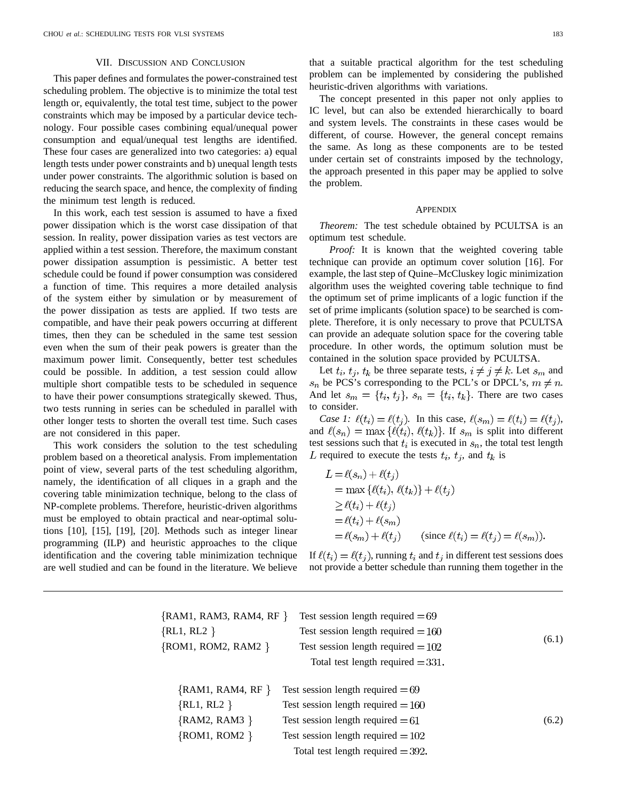# VII. DISCUSSION AND CONCLUSION

This paper defines and formulates the power-constrained test scheduling problem. The objective is to minimize the total test length or, equivalently, the total test time, subject to the power constraints which may be imposed by a particular device technology. Four possible cases combining equal/unequal power consumption and equal/unequal test lengths are identified. These four cases are generalized into two categories: a) equal length tests under power constraints and b) unequal length tests under power constraints. The algorithmic solution is based on reducing the search space, and hence, the complexity of finding the minimum test length is reduced.

In this work, each test session is assumed to have a fixed power dissipation which is the worst case dissipation of that session. In reality, power dissipation varies as test vectors are applied within a test session. Therefore, the maximum constant power dissipation assumption is pessimistic. A better test schedule could be found if power consumption was considered a function of time. This requires a more detailed analysis of the system either by simulation or by measurement of the power dissipation as tests are applied. If two tests are compatible, and have their peak powers occurring at different times, then they can be scheduled in the same test session even when the sum of their peak powers is greater than the maximum power limit. Consequently, better test schedules could be possible. In addition, a test session could allow multiple short compatible tests to be scheduled in sequence to have their power consumptions strategically skewed. Thus, two tests running in series can be scheduled in parallel with other longer tests to shorten the overall test time. Such cases are not considered in this paper.

This work considers the solution to the test scheduling problem based on a theoretical analysis. From implementation point of view, several parts of the test scheduling algorithm, namely, the identification of all cliques in a graph and the covering table minimization technique, belong to the class of NP-complete problems. Therefore, heuristic-driven algorithms must be employed to obtain practical and near-optimal solutions [10], [15], [19], [20]. Methods such as integer linear programming (ILP) and heuristic approaches to the clique identification and the covering table minimization technique are well studied and can be found in the literature. We believe

 $\{$ 

that a suitable practical algorithm for the test scheduling problem can be implemented by considering the published heuristic-driven algorithms with variations.

The concept presented in this paper not only applies to IC level, but can also be extended hierarchically to board and system levels. The constraints in these cases would be different, of course. However, the general concept remains the same. As long as these components are to be tested under certain set of constraints imposed by the technology, the approach presented in this paper may be applied to solve the problem.

### **APPENDIX**

*Theorem:* The test schedule obtained by PCULTSA is an optimum test schedule.

*Proof:* It is known that the weighted covering table technique can provide an optimum cover solution [16]. For example, the last step of Quine–McCluskey logic minimization algorithm uses the weighted covering table technique to find the optimum set of prime implicants of a logic function if the set of prime implicants (solution space) to be searched is complete. Therefore, it is only necessary to prove that PCULTSA can provide an adequate solution space for the covering table procedure. In other words, the optimum solution must be contained in the solution space provided by PCULTSA.

Let  $t_i$ ,  $t_j$ ,  $t_k$  be three separate tests,  $i \neq j \neq k$ . Let  $s_m$  and  $s_n$  be PCS's corresponding to the PCL's or DPCL's,  $m \neq n$ . And let  $s_m = \{t_i, t_j\}$ ,  $s_n = \{t_i, t_k\}$ . There are two cases to consider.

*Case 1:*  $\ell(t_i) = \ell(t_j)$ . In this case,  $\ell(s_m) = \ell(t_i) = \ell(t_j)$ , and  $\ell(s_n) = \max{\{\ell(t_i), \ell(t_k)\}}$ . If  $s_m$  is split into different test sessions such that  $t_i$  is executed in  $s_n$ , the total test length L required to execute the tests  $t_i$ ,  $t_j$ , and  $t_k$  is

$$
L = \ell(s_n) + \ell(t_j)
$$
  
= max { $\ell(t_i)$ ,  $\ell(t_k)$ } +  $\ell(t_j)$   
 $\ge \ell(t_i) + \ell(t_j)$   
=  $\ell(t_i) + \ell(s_m)$   
=  $\ell(s_m) + \ell(t_j)$  (since  $\ell(t_i) = \ell(t_j) = \ell(s_m)$ ).

If  $\ell(t_i) = \ell(t_i)$ , running  $t_i$  and  $t_j$  in different test sessions does not provide a better schedule than running them together in the

| RAM1, RAM3, RAM4, RF } | Test session length required $=69$   |       |
|------------------------|--------------------------------------|-------|
| RL1, RL2 $\}$          | Test session length required $= 160$ |       |
| ROM1, ROM2, RAM2 }     | Test session length required $= 102$ |       |
|                        | Total test length required $= 331$ . |       |
| ${RAM1, RAM4, RF}$     | Test session length required $=69$   |       |
| $\{RL1, RL2\}$         | Test session length required $=160$  |       |
| ${RAM2, RAM3}$         | Test session length required $=61$   | (6.2) |
| $\{ROM1, ROM2\}$       | Test session length required $=102$  |       |
|                        | Total test length required $=$ 392.  |       |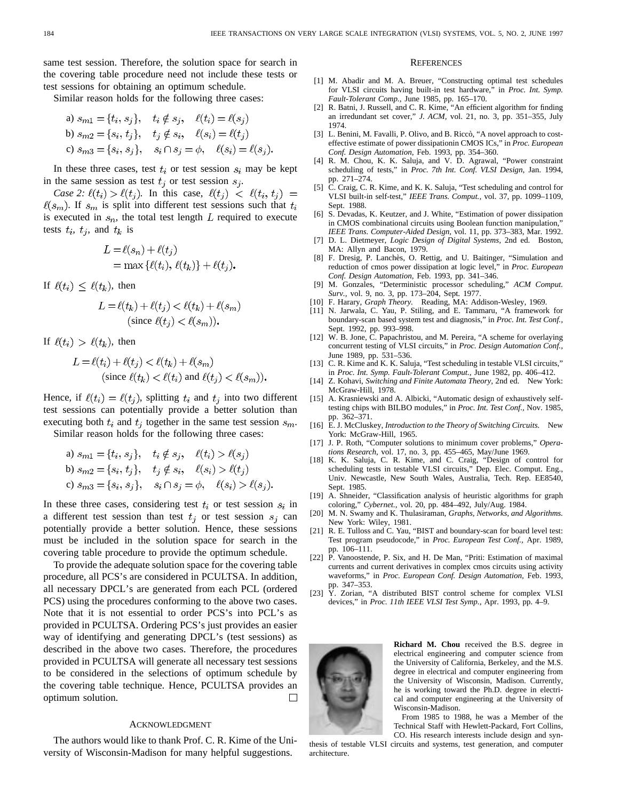same test session. Therefore, the solution space for search in the covering table procedure need not include these tests or test sessions for obtaining an optimum schedule.

Similar reason holds for the following three cases:

a) 
$$
s_{m1} = \{t_i, s_j\}, t_i \notin s_j, \ell(t_i) = \ell(s_j)
$$
  
\nb)  $s_{m2} = \{s_i, t_j\}, t_j \notin s_i, \ell(s_i) = \ell(t_j)$   
\nc)  $s_{m3} = \{s_i, s_j\}, s_i \cap s_j = \phi, \ell(s_i) = \ell(s_j).$ 

In these three cases, test  $t_i$  or test session  $s_i$  may be kept in the same session as test  $t_j$  or test session  $s_j$ .

*Case 2:*  $\ell(t_i) > \ell(t_j)$ . In this case,  $\ell(t_j) < \ell(t_i, t_j)$  =  $\ell(s_m)$ . If  $s_m$  is split into different test sessions such that  $t_i$ is executed in  $s_n$ , the total test length L required to execute tests  $t_i$ ,  $t_j$ , and  $t_k$  is

$$
L = \ell(s_n) + \ell(t_j)
$$
  
= max{ $\ell(t_i)$ ,  $\ell(t_k)$ } +  $\ell(t_j)$ .

If  $\ell(t_i) \leq \ell(t_k)$ , then

$$
L = \ell(t_k) + \ell(t_j) < \ell(t_k) + \ell(s_m)
$$
\n(since  $\ell(t_j) < \ell(s_m)$ ).

If  $\ell(t_i) > \ell(t_k)$ , then

$$
L = \ell(t_i) + \ell(t_j) < \ell(t_k) + \ell(s_m)
$$
\n(since  $\ell(t_k) < \ell(t_i)$  and  $\ell(t_j) < \ell(s_m)$ ).

Hence, if  $\ell(t_i) = \ell(t_j)$ , splitting  $t_i$  and  $t_j$  into two different test sessions can potentially provide a better solution than executing both  $t_i$  and  $t_j$  together in the same test session  $s_m$ . Similar reason holds for the following three cases:

a) 
$$
s_{m1} = \{t_i, s_j\},
$$
  $t_i \notin s_j,$   $\ell(t_i) > \ell(s_j)$   
b)  $s_{m2} = \{s_i, t_j\},$   $t_j \notin s_i,$   $\ell(s_i) > \ell(t_j)$   
c)  $s_{m3} = \{s_i, s_j\},$   $s_i \cap s_j = \phi,$   $\ell(s_i) > \ell(s_j).$ 

In these three cases, considering test  $t_i$  or test session  $s_i$  in a different test session than test  $t_j$  or test session  $s_j$  can potentially provide a better solution. Hence, these sessions must be included in the solution space for search in the covering table procedure to provide the optimum schedule.

To provide the adequate solution space for the covering table procedure, all PCS's are considered in PCULTSA. In addition, all necessary DPCL's are generated from each PCL (ordered PCS) using the procedures conforming to the above two cases. Note that it is not essential to order PCS's into PCL's as provided in PCULTSA. Ordering PCS's just provides an easier way of identifying and generating DPCL's (test sessions) as described in the above two cases. Therefore, the procedures provided in PCULTSA will generate all necessary test sessions to be considered in the selections of optimum schedule by the covering table technique. Hence, PCULTSA provides an optimum solution.  $\Box$ 

### ACKNOWLEDGMENT

The authors would like to thank Prof. C. R. Kime of the University of Wisconsin-Madison for many helpful suggestions.

### **REFERENCES**

- [1] M. Abadir and M. A. Breuer, "Constructing optimal test schedules for VLSI circuits having built-in test hardware," in *Proc. Int. Symp. Fault-Tolerant Comp.,* June 1985, pp. 165–170.
- [2] R. Batni, J. Russell, and C. R. Kime, "An efficient algorithm for finding an irredundant set cover," *J. ACM,* vol. 21, no. 3, pp. 351–355, July 1974.
- [3] L. Benini, M. Favalli, P. Olivo, and B. Riccò, "A novel approach to costeffective estimate of power dissipationin CMOS ICs," in *Proc. European Conf. Design Automation,* Feb. 1993, pp. 354–360.
- [4] R. M. Chou, K. K. Saluja, and V. D. Agrawal, "Power constraint scheduling of tests," in *Proc. 7th Int. Conf. VLSI Design,* Jan. 1994, pp. 271–274.
- [5] C. Craig, C. R. Kime, and K. K. Saluja, "Test scheduling and control for VLSI built-in self-test," *IEEE Trans. Comput.,* vol. 37, pp. 1099–1109, Sept. 1988.
- [6] S. Devadas, K. Keutzer, and J. White, "Estimation of power dissipation in CMOS combinational circuits using Boolean function manipulation," *IEEE Trans. Computer-Aided Design,* vol. 11, pp. 373–383, Mar. 1992.
- [7] D. L. Dietmeyer, *Logic Design of Digital Systems,* 2nd ed. Boston, MA: Allyn and Bacon, 1979.
- [8] F. Dresig, P. Lanchès, O. Rettig, and U. Baitinger, "Simulation and reduction of cmos power dissipation at logic level," in *Proc. European Conf. Design Automation,* Feb. 1993, pp. 341–346.
- [9] M. Gonzales, "Deterministic processor scheduling," *ACM Comput. Surv.,* vol. 9, no. 3, pp. 173–204, Sept. 1977.
- [10] F. Harary, *Graph Theory.* Reading, MA: Addison-Wesley, 1969.
- [11] N. Jarwala, C. Yau, P. Stiling, and E. Tammaru, "A framework for boundary-scan based system test and diagnosis," in *Proc. Int. Test Conf.,* Sept. 1992, pp. 993–998.
- [12] W. B. Jone, C. Papachristou, and M. Pereira, "A scheme for overlaying concurrent testing of VLSI circuits," in *Proc. Design Automation Conf.,* June 1989, pp. 531–536.
- [13] C. R. Kime and K. K. Saluja, "Test scheduling in testable VLSI circuits," in *Proc. Int. Symp. Fault-Tolerant Comput.,* June 1982, pp. 406–412.
- [14] Z. Kohavi, *Switching and Finite Automata Theory,* 2nd ed. New York: McGraw-Hill, 1978.
- [15] A. Krasniewski and A. Albicki, "Automatic design of exhaustively selftesting chips with BILBO modules," in *Proc. Int. Test Conf.,* Nov. 1985, pp. 362–371.
- [16] E. J. McCluskey, *Introduction to the Theory of Switching Circuits.* New York: McGraw-Hill, 1965.
- [17] J. P. Roth, "Computer solutions to minimum cover problems," *Operations Research*, vol. 17, no. 3, pp. 455–465, May/June 1969.
- [18] K. K. Saluja, C. R. Kime, and C. Craig, "Design of control for scheduling tests in testable VLSI circuits," Dep. Elec. Comput. Eng., Univ. Newcastle, New South Wales, Australia, Tech. Rep. EE8540, Sept. 1985.
- [19] A. Shneider, "Classification analysis of heuristic algorithms for graph coloring," *Cybernet.*, vol. 20, pp. 484–492, July/Aug. 1984.
- [20] M. N. Swamy and K. Thulasiraman, *Graphs, Networks, and Algorithms.* New York: Wiley, 1981.
- [21] R. E. Tulloss and C. Yau, "BIST and boundary-scan for board level test: Test program pseudocode," in *Proc. European Test Conf.,* Apr. 1989, pp. 106–111.
- [22] P. Vanoostende, P. Six, and H. De Man, "Priti: Estimation of maximal currents and current derivatives in complex cmos circuits using activity waveforms," in *Proc. European Conf. Design Automation,* Feb. 1993, pp. 347–353.
- [23]  $\hat{Y}$ . Zorian, "A distributed BIST control scheme for complex VLSI devices," in *Proc. 11th IEEE VLSI Test Symp.,* Apr. 1993, pp. 4–9.



**Richard M. Chou** received the B.S. degree in electrical engineering and computer science from the University of California, Berkeley, and the M.S. degree in electrical and computer engineering from the University of Wisconsin, Madison. Currently, he is working toward the Ph.D. degree in electrical and computer engineering at the University of Wisconsin-Madison.

From 1985 to 1988, he was a Member of the Technical Staff with Hewlett-Packard, Fort Collins, CO. His research interests include design and syn-

thesis of testable VLSI circuits and systems, test generation, and computer architecture.